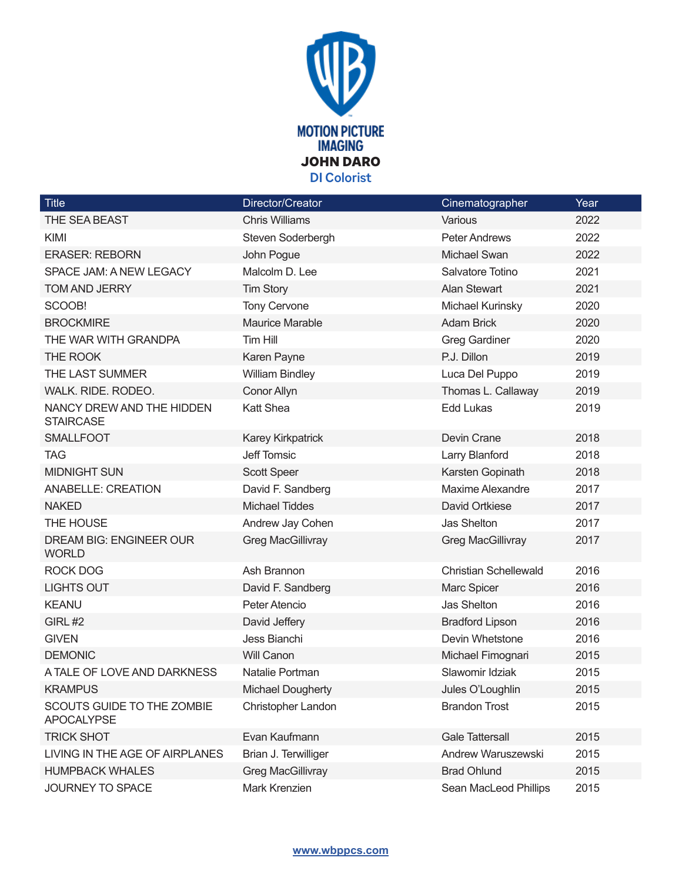

| <b>Title</b>                                    | Director/Creator         | Cinematographer              | Year |
|-------------------------------------------------|--------------------------|------------------------------|------|
| THE SEA BEAST                                   | <b>Chris Williams</b>    | Various                      | 2022 |
| KIMI                                            | Steven Soderbergh        | <b>Peter Andrews</b>         | 2022 |
| <b>ERASER: REBORN</b>                           | John Pogue               | Michael Swan                 | 2022 |
| SPACE JAM: A NEW LEGACY                         | Malcolm D. Lee           | Salvatore Totino             | 2021 |
| <b>TOM AND JERRY</b>                            | <b>Tim Story</b>         | <b>Alan Stewart</b>          | 2021 |
| SCOOB!                                          | <b>Tony Cervone</b>      | Michael Kurinsky             | 2020 |
| <b>BROCKMIRE</b>                                | <b>Maurice Marable</b>   | <b>Adam Brick</b>            | 2020 |
| THE WAR WITH GRANDPA                            | Tim Hill                 | <b>Greg Gardiner</b>         | 2020 |
| THE ROOK                                        | Karen Payne              | P.J. Dillon                  | 2019 |
| THE LAST SUMMER                                 | <b>William Bindley</b>   | Luca Del Puppo               | 2019 |
| WALK. RIDE. RODEO.                              | Conor Allyn              | Thomas L. Callaway           | 2019 |
| NANCY DREW AND THE HIDDEN<br><b>STAIRCASE</b>   | <b>Katt Shea</b>         | Edd Lukas                    | 2019 |
| <b>SMALLFOOT</b>                                | Karey Kirkpatrick        | Devin Crane                  | 2018 |
| <b>TAG</b>                                      | Jeff Tomsic              | Larry Blanford               | 2018 |
| <b>MIDNIGHT SUN</b>                             | Scott Speer              | Karsten Gopinath             | 2018 |
| <b>ANABELLE: CREATION</b>                       | David F. Sandberg        | Maxime Alexandre             | 2017 |
| <b>NAKED</b>                                    | <b>Michael Tiddes</b>    | David Ortkiese               | 2017 |
| THE HOUSE                                       | Andrew Jay Cohen         | Jas Shelton                  | 2017 |
| <b>DREAM BIG: ENGINEER OUR</b><br><b>WORLD</b>  | <b>Greg MacGillivray</b> | <b>Greg MacGillivray</b>     | 2017 |
| <b>ROCK DOG</b>                                 | Ash Brannon              | <b>Christian Schellewald</b> | 2016 |
| <b>LIGHTS OUT</b>                               | David F. Sandberg        | Marc Spicer                  | 2016 |
| <b>KEANU</b>                                    | Peter Atencio            | Jas Shelton                  | 2016 |
| GIRL#2                                          | David Jeffery            | <b>Bradford Lipson</b>       | 2016 |
| <b>GIVEN</b>                                    | Jess Bianchi             | Devin Whetstone              | 2016 |
| <b>DEMONIC</b>                                  | Will Canon               | Michael Fimognari            | 2015 |
| A TALE OF LOVE AND DARKNESS                     | Natalie Portman          | Slawomir Idziak              | 2015 |
| <b>KRAMPUS</b>                                  | Michael Dougherty        | Jules O'Loughlin             | 2015 |
| SCOUTS GUIDE TO THE ZOMBIE<br><b>APOCALYPSE</b> | Christopher Landon       | <b>Brandon Trost</b>         | 2015 |
| <b>TRICK SHOT</b>                               | Evan Kaufmann            | <b>Gale Tattersall</b>       | 2015 |
| LIVING IN THE AGE OF AIRPLANES                  | Brian J. Terwilliger     | Andrew Waruszewski           | 2015 |
| <b>HUMPBACK WHALES</b>                          | <b>Greg MacGillivray</b> | <b>Brad Ohlund</b>           | 2015 |
| JOURNEY TO SPACE                                | Mark Krenzien            | Sean MacLeod Phillips        | 2015 |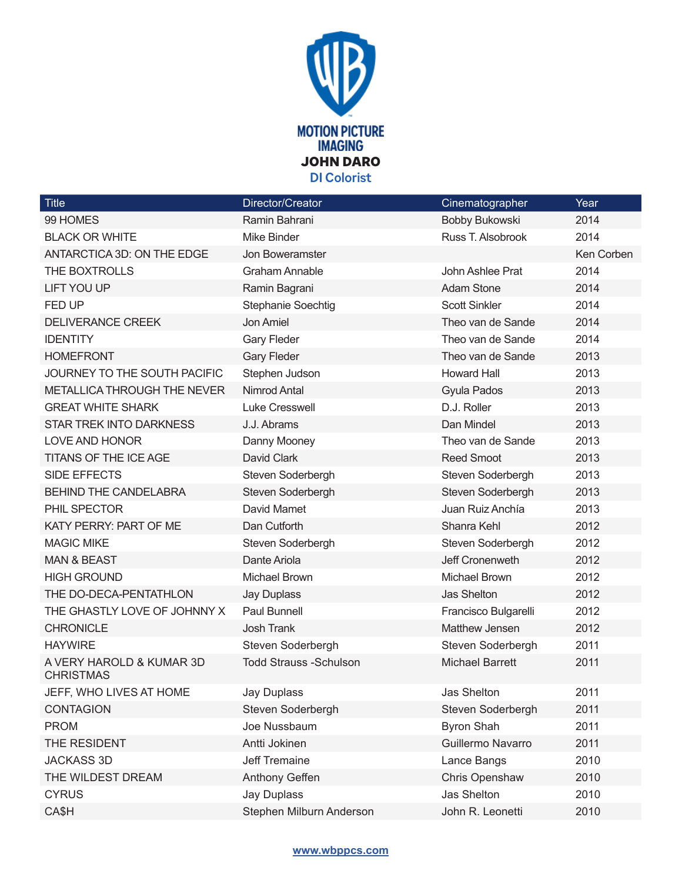

| <b>Title</b>                                 | Director/Creator              | Cinematographer        | Year       |
|----------------------------------------------|-------------------------------|------------------------|------------|
| 99 HOMES                                     | Ramin Bahrani                 | Bobby Bukowski         | 2014       |
| <b>BLACK OR WHITE</b>                        | Mike Binder                   | Russ T. Alsobrook      | 2014       |
| ANTARCTICA 3D: ON THE EDGE                   | Jon Boweramster               |                        | Ken Corben |
| THE BOXTROLLS                                | <b>Graham Annable</b>         | John Ashlee Prat       | 2014       |
| <b>LIFT YOU UP</b>                           | Ramin Bagrani                 | <b>Adam Stone</b>      | 2014       |
| FED UP                                       | Stephanie Soechtig            | <b>Scott Sinkler</b>   | 2014       |
| <b>DELIVERANCE CREEK</b>                     | Jon Amiel                     | Theo van de Sande      | 2014       |
| <b>IDENTITY</b>                              | <b>Gary Fleder</b>            | Theo van de Sande      | 2014       |
| <b>HOMEFRONT</b>                             | <b>Gary Fleder</b>            | Theo van de Sande      | 2013       |
| JOURNEY TO THE SOUTH PACIFIC                 | Stephen Judson                | <b>Howard Hall</b>     | 2013       |
| <b>METALLICA THROUGH THE NEVER</b>           | Nimrod Antal                  | Gyula Pados            | 2013       |
| <b>GREAT WHITE SHARK</b>                     | <b>Luke Cresswell</b>         | D.J. Roller            | 2013       |
| <b>STAR TREK INTO DARKNESS</b>               | J.J. Abrams                   | Dan Mindel             | 2013       |
| LOVE AND HONOR                               | Danny Mooney                  | Theo van de Sande      | 2013       |
| <b>TITANS OF THE ICE AGE</b>                 | David Clark                   | <b>Reed Smoot</b>      | 2013       |
| SIDE EFFECTS                                 | Steven Soderbergh             | Steven Soderbergh      | 2013       |
| <b>BEHIND THE CANDELABRA</b>                 | Steven Soderbergh             | Steven Soderbergh      | 2013       |
| PHIL SPECTOR                                 | David Mamet                   | Juan Ruiz Anchía       | 2013       |
| KATY PERRY: PART OF ME                       | Dan Cutforth                  | Shanra Kehl            | 2012       |
| <b>MAGIC MIKE</b>                            | Steven Soderbergh             | Steven Soderbergh      | 2012       |
| <b>MAN &amp; BEAST</b>                       | Dante Ariola                  | Jeff Cronenweth        | 2012       |
| <b>HIGH GROUND</b>                           | Michael Brown                 | Michael Brown          | 2012       |
| THE DO-DECA-PENTATHLON                       | <b>Jay Duplass</b>            | <b>Jas Shelton</b>     | 2012       |
| THE GHASTLY LOVE OF JOHNNY X                 | Paul Bunnell                  | Francisco Bulgarelli   | 2012       |
| <b>CHRONICLE</b>                             | <b>Josh Trank</b>             | Matthew Jensen         | 2012       |
| <b>HAYWIRE</b>                               | Steven Soderbergh             | Steven Soderbergh      | 2011       |
| A VERY HAROLD & KUMAR 3D<br><b>CHRISTMAS</b> | <b>Todd Strauss -Schulson</b> | <b>Michael Barrett</b> | 2011       |
| JEFF, WHO LIVES AT HOME                      | <b>Jay Duplass</b>            | <b>Jas Shelton</b>     | 2011       |
| <b>CONTAGION</b>                             | Steven Soderbergh             | Steven Soderbergh      | 2011       |
| <b>PROM</b>                                  | Joe Nussbaum                  | <b>Byron Shah</b>      | 2011       |
| THE RESIDENT                                 | Antti Jokinen                 | Guillermo Navarro      | 2011       |
| <b>JACKASS 3D</b>                            | Jeff Tremaine                 | Lance Bangs            | 2010       |
| THE WILDEST DREAM                            | Anthony Geffen                | Chris Openshaw         | 2010       |
| <b>CYRUS</b>                                 | <b>Jay Duplass</b>            | Jas Shelton            | 2010       |
| CA\$H                                        | Stephen Milburn Anderson      | John R. Leonetti       | 2010       |

## **www.wbppcs.com**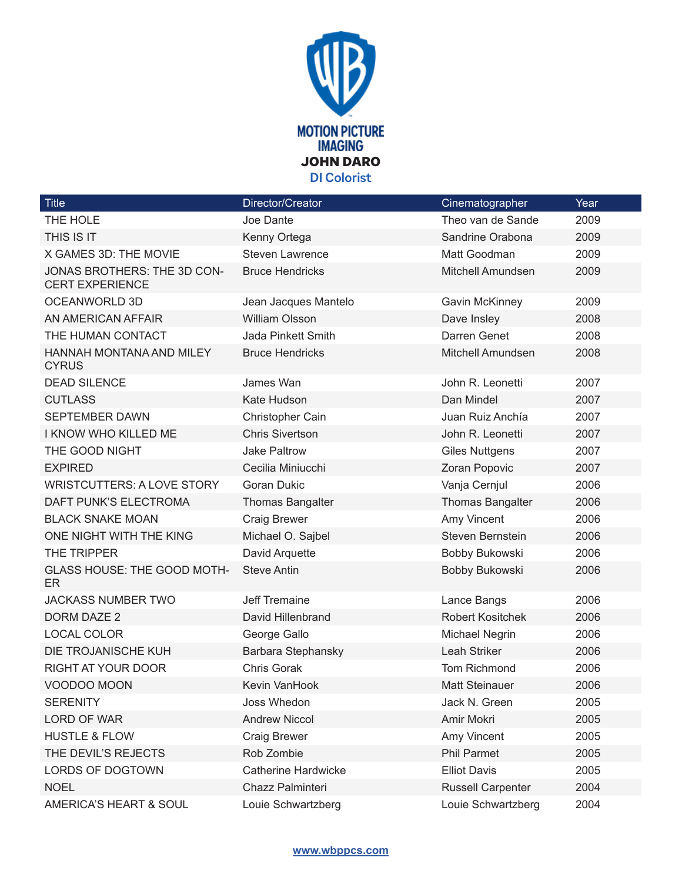

| <b>Title</b>                                          | Director/Creator           | Cinematographer          | Year |
|-------------------------------------------------------|----------------------------|--------------------------|------|
| THE HOLE                                              | Joe Dante                  | Theo van de Sande        | 2009 |
| THIS IS IT                                            | Kenny Ortega               | Sandrine Orabona         | 2009 |
| X GAMES 3D: THE MOVIE                                 | <b>Steven Lawrence</b>     | Matt Goodman             | 2009 |
| JONAS BROTHERS: THE 3D CON-<br><b>CERT EXPERIENCE</b> | <b>Bruce Hendricks</b>     | Mitchell Amundsen        | 2009 |
| <b>OCEANWORLD 3D</b>                                  | Jean Jacques Mantelo       | <b>Gavin McKinney</b>    | 2009 |
| AN AMERICAN AFFAIR                                    | <b>William Olsson</b>      | Dave Insley              | 2008 |
| THE HUMAN CONTACT                                     | Jada Pinkett Smith         | Darren Genet             | 2008 |
| HANNAH MONTANA AND MILEY<br><b>CYRUS</b>              | <b>Bruce Hendricks</b>     | Mitchell Amundsen        | 2008 |
| <b>DEAD SILENCE</b>                                   | James Wan                  | John R. Leonetti         | 2007 |
| <b>CUTLASS</b>                                        | Kate Hudson                | Dan Mindel               | 2007 |
| <b>SEPTEMBER DAWN</b>                                 | Christopher Cain           | Juan Ruiz Anchía         | 2007 |
| I KNOW WHO KILLED ME                                  | <b>Chris Sivertson</b>     | John R. Leonetti         | 2007 |
| THE GOOD NIGHT                                        | <b>Jake Paltrow</b>        | <b>Giles Nuttgens</b>    | 2007 |
| <b>EXPIRED</b>                                        | Cecilia Miniucchi          | Zoran Popovic            | 2007 |
| <b>WRISTCUTTERS: A LOVE STORY</b>                     | <b>Goran Dukic</b>         | Vanja Cernjul            | 2006 |
| DAFT PUNK'S ELECTROMA                                 | <b>Thomas Bangalter</b>    | Thomas Bangalter         | 2006 |
| <b>BLACK SNAKE MOAN</b>                               | <b>Craig Brewer</b>        | Amy Vincent              | 2006 |
| ONE NIGHT WITH THE KING                               | Michael O. Sajbel          | Steven Bernstein         | 2006 |
| THE TRIPPER                                           | David Arquette             | Bobby Bukowski           | 2006 |
| <b>GLASS HOUSE: THE GOOD MOTH-</b><br>ER              | <b>Steve Antin</b>         | Bobby Bukowski           | 2006 |
| <b>JACKASS NUMBER TWO</b>                             | <b>Jeff Tremaine</b>       | Lance Bangs              | 2006 |
| <b>DORM DAZE 2</b>                                    | David Hillenbrand          | <b>Robert Kositchek</b>  | 2006 |
| LOCAL COLOR                                           | George Gallo               | Michael Negrin           | 2006 |
| DIE TROJANISCHE KUH                                   | Barbara Stephansky         | Leah Striker             | 2006 |
| <b>RIGHT AT YOUR DOOR</b>                             | <b>Chris Gorak</b>         | <b>Tom Richmond</b>      | 2006 |
| VOODOO MOON                                           | Kevin VanHook              | Matt Steinauer           | 2006 |
| <b>SERENITY</b>                                       | Joss Whedon                | Jack N. Green            | 2005 |
| LORD OF WAR                                           | <b>Andrew Niccol</b>       | Amir Mokri               | 2005 |
| <b>HUSTLE &amp; FLOW</b>                              | <b>Craig Brewer</b>        | Amy Vincent              | 2005 |
| THE DEVIL'S REJECTS                                   | Rob Zombie                 | <b>Phil Parmet</b>       | 2005 |
| <b>LORDS OF DOGTOWN</b>                               | <b>Catherine Hardwicke</b> | <b>Elliot Davis</b>      | 2005 |
| <b>NOEL</b>                                           | Chazz Palminteri           | <b>Russell Carpenter</b> | 2004 |
| AMERICA'S HEART & SOUL                                | Louie Schwartzberg         | Louie Schwartzberg       | 2004 |